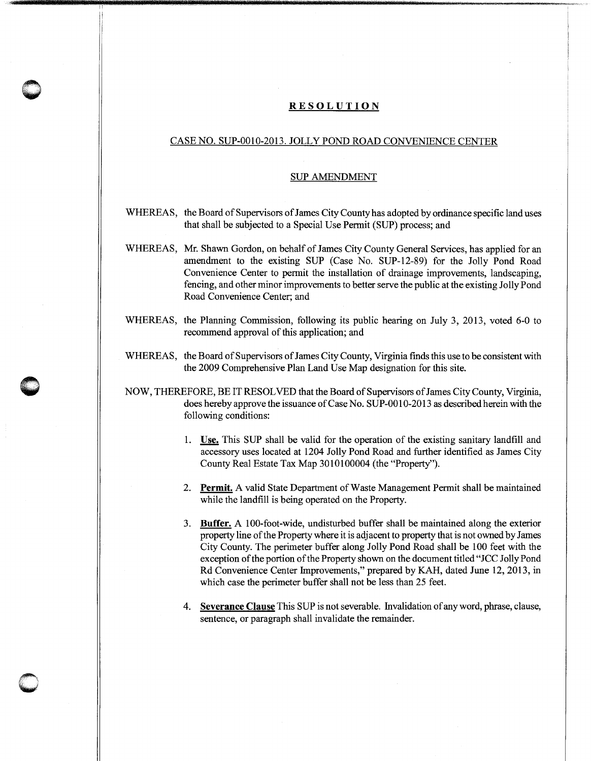## **RESOLUTION**

## CASE NO. SUP-0010-2013. JOLLY POND ROAD CONVENIENCE CENTER

## SUP AMENDMENT

- WHEREAS, the Board of Supervisors of James City County has adopted by ordinance specific land uses that shall be subjected to a Special Use Permit (SUP) process; and
- WHEREAS, Mr. Shawn Gordon, on behalf of James City County General Services, has applied for an amendment to the existing SUP (Case No. SUP-12-89) for the Jolly Pond Road Convenience Center to permit the installation of drainage improvements, landscaping, fencing, and other minor improvements to better serve the public at the existing Jolly Pond Road Convenience Center; and
- WHEREAS, the Planning Commission, following its public hearing on July 3, 2013, voted 6-0 to recommend approval of this application; and
- WHEREAS, the Board of Supervisors of James City County, Virginia fmds this use to be consistent with the 2009 Comprehensive Plan Land Use Map designation for this site.
- NOW, THEREFORE, BE IT RESOLVED that the Board of Supervisors of James City County, Virginia, does hereby approve the issuance of Case No. SUP-0010-2013 as described herein with the following conditions:
	- **1. Use.** This SUP shall be valid for the operation of the existing sanitary landfill and accessory uses located at 1204 Jolly Pond Road and further identified as James City County Real Estate Tax Map 3010100004 (the "Property").
	- 2. **Permit.** A valid State Department of Waste Management Permit shall be maintained while the landfill is being operated on the Property.
	- 3. **Buffer.** A 100-foot-wide, undisturbed buffer shall be maintained along the exterior property line of the Property where it is adjacent to property that is not owned by James City County. The perimeter buffer along Jolly Pond Road shall be 100 feet with the exception of the portion of the Property shown on the document titled "JCC Jolly Pond Rd Convenience Center hnprovements," prepared by KAH, dated June 12, 2013, in which case the perimeter buffer shall not be less than 25 feet.
	- **4. Severance Clause** This SUP is not severable. Invalidation of any word, phrase, clause, sentence, or paragraph shall invalidate the remainder.